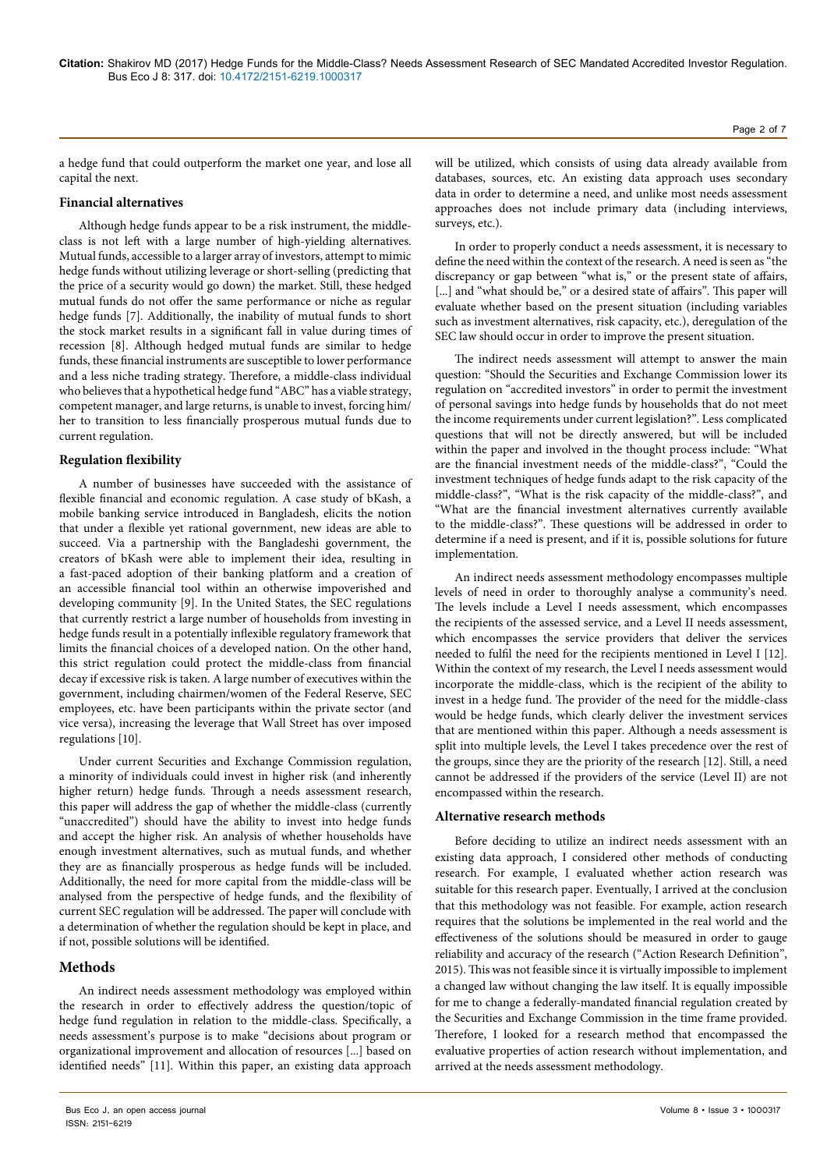a hedge fund that could outperform the market one year, and lose all capital the next.

### **Financial alternatives**

Although hedge funds appear to be a risk instrument, the middleclass is not left with a large number of high-yielding alternatives. Mutual funds, accessible to a larger array of investors, attempt to mimic hedge funds without utilizing leverage or short-selling (predicting that the price of a security would go down) the market. Still, these hedged mutual funds do not offer the same performance or niche as regular hedge funds [7]. Additionally, the inability of mutual funds to short the stock market results in a significant fall in value during times of recession [8]. Although hedged mutual funds are similar to hedge funds, these financial instruments are susceptible to lower performance and a less niche trading strategy. Therefore, a middle-class individual who believes that a hypothetical hedge fund "ABC" has a viable strategy, competent manager, and large returns, is unable to invest, forcing him/ her to transition to less financially prosperous mutual funds due to current regulation.

## **Regulation flexibility**

A number of businesses have succeeded with the assistance of flexible financial and economic regulation. A case study of bKash, a mobile banking service introduced in Bangladesh, elicits the notion that under a flexible yet rational government, new ideas are able to succeed. Via a partnership with the Bangladeshi government, the creators of bKash were able to implement their idea, resulting in a fast-paced adoption of their banking platform and a creation of an accessible financial tool within an otherwise impoverished and developing community [9]. In the United States, the SEC regulations that currently restrict a large number of households from investing in hedge funds result in a potentially inflexible regulatory framework that limits the financial choices of a developed nation. On the other hand, this strict regulation could protect the middle-class from financial decay if excessive risk is taken. A large number of executives within the government, including chairmen/women of the Federal Reserve, SEC employees, etc. have been participants within the private sector (and vice versa), increasing the leverage that Wall Street has over imposed regulations [10].

Under current Securities and Exchange Commission regulation, a minority of individuals could invest in higher risk (and inherently higher return) hedge funds. Through a needs assessment research, this paper will address the gap of whether the middle-class (currently "unaccredited") should have the ability to invest into hedge funds and accept the higher risk. An analysis of whether households have enough investment alternatives, such as mutual funds, and whether they are as financially prosperous as hedge funds will be included. Additionally, the need for more capital from the middle-class will be analysed from the perspective of hedge funds, and the flexibility of current SEC regulation will be addressed. The paper will conclude with a determination of whether the regulation should be kept in place, and if not, possible solutions will be identified.

# **Methods**

An indirect needs assessment methodology was employed within the research in order to effectively address the question/topic of hedge fund regulation in relation to the middle-class. Specifically, a needs assessment's purpose is to make "decisions about program or organizational improvement and allocation of resources [...] based on identified needs" [11]. Within this paper, an existing data approach

will be utilized, which consists of using data already available from databases, sources, etc. An existing data approach uses secondary data in order to determine a need, and unlike most needs assessment approaches does not include primary data (including interviews, surveys, etc.).

In order to properly conduct a needs assessment, it is necessary to define the need within the context of the research. A need is seen as "the discrepancy or gap between "what is," or the present state of affairs, [...] and "what should be," or a desired state of affairs". This paper will evaluate whether based on the present situation (including variables such as investment alternatives, risk capacity, etc.), deregulation of the SEC law should occur in order to improve the present situation.

The indirect needs assessment will attempt to answer the main question: "Should the Securities and Exchange Commission lower its regulation on "accredited investors" in order to permit the investment of personal savings into hedge funds by households that do not meet the income requirements under current legislation?". Less complicated questions that will not be directly answered, but will be included within the paper and involved in the thought process include: "What are the financial investment needs of the middle-class?", "Could the investment techniques of hedge funds adapt to the risk capacity of the middle-class?", "What is the risk capacity of the middle-class?", and "What are the financial investment alternatives currently available to the middle-class?". These questions will be addressed in order to determine if a need is present, and if it is, possible solutions for future implementation.

An indirect needs assessment methodology encompasses multiple levels of need in order to thoroughly analyse a community's need. The levels include a Level I needs assessment, which encompasses the recipients of the assessed service, and a Level II needs assessment, which encompasses the service providers that deliver the services needed to fulfil the need for the recipients mentioned in Level I [12]. Within the context of my research, the Level I needs assessment would incorporate the middle-class, which is the recipient of the ability to invest in a hedge fund. The provider of the need for the middle-class would be hedge funds, which clearly deliver the investment services that are mentioned within this paper. Although a needs assessment is split into multiple levels, the Level I takes precedence over the rest of the groups, since they are the priority of the research [12]. Still, a need cannot be addressed if the providers of the service (Level II) are not encompassed within the research.

# **Alternative research methods**

Before deciding to utilize an indirect needs assessment with an existing data approach, I considered other methods of conducting research. For example, I evaluated whether action research was suitable for this research paper. Eventually, I arrived at the conclusion that this methodology was not feasible. For example, action research requires that the solutions be implemented in the real world and the effectiveness of the solutions should be measured in order to gauge reliability and accuracy of the research ("Action Research Definition", 2015). This was not feasible since it is virtually impossible to implement a changed law without changing the law itself. It is equally impossible for me to change a federally-mandated financial regulation created by the Securities and Exchange Commission in the time frame provided. Therefore, I looked for a research method that encompassed the evaluative properties of action research without implementation, and arrived at the needs assessment methodology.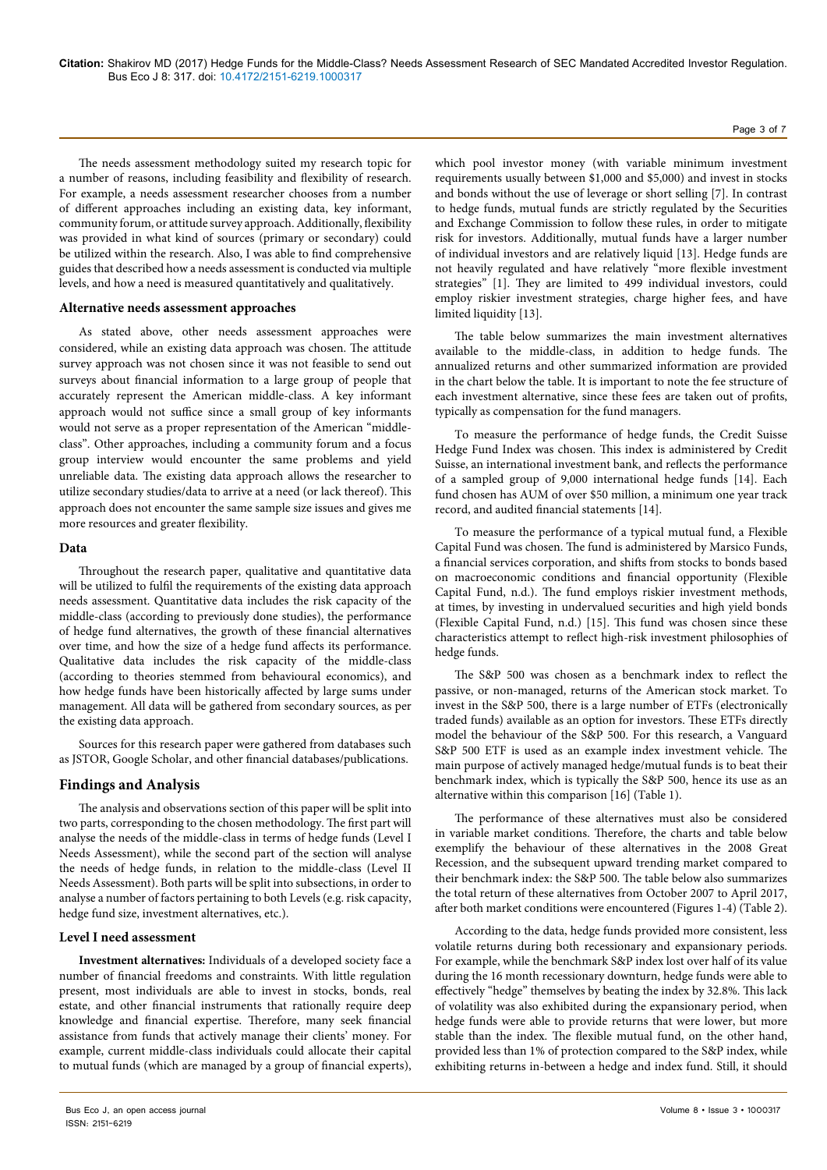The needs assessment methodology suited my research topic for a number of reasons, including feasibility and flexibility of research. For example, a needs assessment researcher chooses from a number of different approaches including an existing data, key informant, community forum, or attitude survey approach. Additionally, flexibility was provided in what kind of sources (primary or secondary) could be utilized within the research. Also, I was able to find comprehensive guides that described how a needs assessment is conducted via multiple levels, and how a need is measured quantitatively and qualitatively.

### **Alternative needs assessment approaches**

As stated above, other needs assessment approaches were considered, while an existing data approach was chosen. The attitude survey approach was not chosen since it was not feasible to send out surveys about financial information to a large group of people that accurately represent the American middle-class. A key informant approach would not suffice since a small group of key informants would not serve as a proper representation of the American "middleclass". Other approaches, including a community forum and a focus group interview would encounter the same problems and yield unreliable data. The existing data approach allows the researcher to utilize secondary studies/data to arrive at a need (or lack thereof). This approach does not encounter the same sample size issues and gives me more resources and greater flexibility.

#### **Data**

Throughout the research paper, qualitative and quantitative data will be utilized to fulfil the requirements of the existing data approach needs assessment. Quantitative data includes the risk capacity of the middle-class (according to previously done studies), the performance of hedge fund alternatives, the growth of these financial alternatives over time, and how the size of a hedge fund affects its performance. Qualitative data includes the risk capacity of the middle-class (according to theories stemmed from behavioural economics), and how hedge funds have been historically affected by large sums under management. All data will be gathered from secondary sources, as per the existing data approach.

Sources for this research paper were gathered from databases such as JSTOR, Google Scholar, and other financial databases/publications.

### **Findings and Analysis**

The analysis and observations section of this paper will be split into two parts, corresponding to the chosen methodology. The first part will analyse the needs of the middle-class in terms of hedge funds (Level I Needs Assessment), while the second part of the section will analyse the needs of hedge funds, in relation to the middle-class (Level II Needs Assessment). Both parts will be split into subsections, in order to analyse a number of factors pertaining to both Levels (e.g. risk capacity, hedge fund size, investment alternatives, etc.).

### **Level I need assessment**

**Investment alternatives:** Individuals of a developed society face a number of financial freedoms and constraints. With little regulation present, most individuals are able to invest in stocks, bonds, real estate, and other financial instruments that rationally require deep knowledge and financial expertise. Therefore, many seek financial assistance from funds that actively manage their clients' money. For example, current middle-class individuals could allocate their capital to mutual funds (which are managed by a group of financial experts),

which pool investor money (with variable minimum investment requirements usually between \$1,000 and \$5,000) and invest in stocks and bonds without the use of leverage or short selling [7]. In contrast to hedge funds, mutual funds are strictly regulated by the Securities and Exchange Commission to follow these rules, in order to mitigate risk for investors. Additionally, mutual funds have a larger number of individual investors and are relatively liquid [13]. Hedge funds are not heavily regulated and have relatively "more flexible investment strategies" [1]. They are limited to 499 individual investors, could employ riskier investment strategies, charge higher fees, and have limited liquidity [13].

The table below summarizes the main investment alternatives available to the middle-class, in addition to hedge funds. The annualized returns and other summarized information are provided in the chart below the table. It is important to note the fee structure of each investment alternative, since these fees are taken out of profits, typically as compensation for the fund managers.

To measure the performance of hedge funds, the Credit Suisse Hedge Fund Index was chosen. This index is administered by Credit Suisse, an international investment bank, and reflects the performance of a sampled group of 9,000 international hedge funds [14]. Each fund chosen has AUM of over \$50 million, a minimum one year track record, and audited financial statements [14].

To measure the performance of a typical mutual fund, a Flexible Capital Fund was chosen. The fund is administered by Marsico Funds, a financial services corporation, and shifts from stocks to bonds based on macroeconomic conditions and financial opportunity (Flexible Capital Fund, n.d.). The fund employs riskier investment methods, at times, by investing in undervalued securities and high yield bonds (Flexible Capital Fund, n.d.) [15]. This fund was chosen since these characteristics attempt to reflect high-risk investment philosophies of hedge funds.

The S&P 500 was chosen as a benchmark index to reflect the passive, or non-managed, returns of the American stock market. To invest in the S&P 500, there is a large number of ETFs (electronically traded funds) available as an option for investors. These ETFs directly model the behaviour of the S&P 500. For this research, a Vanguard S&P 500 ETF is used as an example index investment vehicle. The main purpose of actively managed hedge/mutual funds is to beat their benchmark index, which is typically the S&P 500, hence its use as an alternative within this comparison [16] (Table 1).

The performance of these alternatives must also be considered in variable market conditions. Therefore, the charts and table below exemplify the behaviour of these alternatives in the 2008 Great Recession, and the subsequent upward trending market compared to their benchmark index: the S&P 500. The table below also summarizes the total return of these alternatives from October 2007 to April 2017, after both market conditions were encountered (Figures 1-4) (Table 2).

According to the data, hedge funds provided more consistent, less volatile returns during both recessionary and expansionary periods. For example, while the benchmark S&P index lost over half of its value during the 16 month recessionary downturn, hedge funds were able to effectively "hedge" themselves by beating the index by 32.8%. This lack of volatility was also exhibited during the expansionary period, when hedge funds were able to provide returns that were lower, but more stable than the index. The flexible mutual fund, on the other hand, provided less than 1% of protection compared to the S&P index, while exhibiting returns in-between a hedge and index fund. Still, it should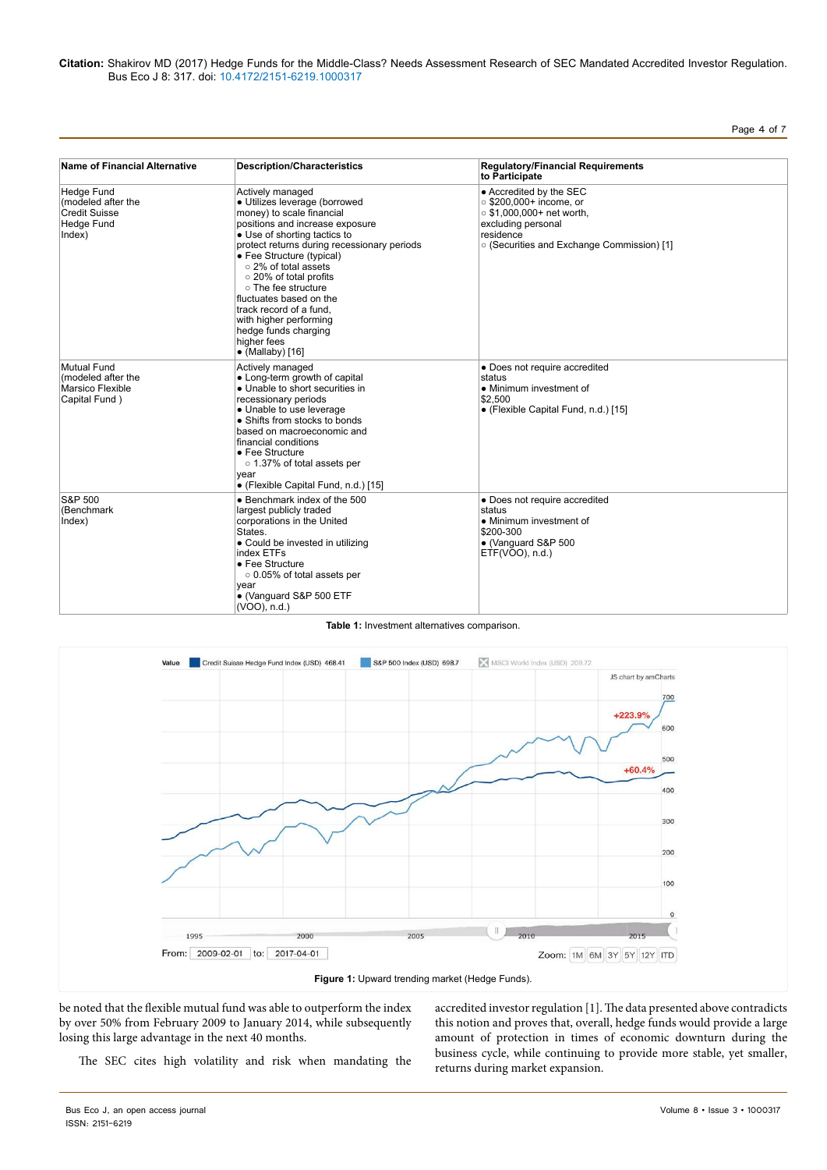#### **Citation:** Shakirov MD (2017) Hedge Funds for the Middle-Class? Needs Assessment Research of SEC Mandated Accredited Investor Regulation. Bus Eco J 8: 317. doi: 10.4172/2151-6219.1000317

| э<br>۰ρ<br>г |  |  |  |
|--------------|--|--|--|
|--------------|--|--|--|

| Name of Financial Alternative                                                    | <b>Description/Characteristics</b>                                                                                                                                                                                                                                                                                                                                                                                                                        | <b>Regulatory/Financial Requirements</b><br>to Participate<br>• Accredited by the SEC<br>○ \$200,000+ income, or<br>$\circ$ \$1,000,000+ net worth,<br>excluding personal<br>residence<br>o (Securities and Exchange Commission) [1] |  |
|----------------------------------------------------------------------------------|-----------------------------------------------------------------------------------------------------------------------------------------------------------------------------------------------------------------------------------------------------------------------------------------------------------------------------------------------------------------------------------------------------------------------------------------------------------|--------------------------------------------------------------------------------------------------------------------------------------------------------------------------------------------------------------------------------------|--|
| Hedge Fund<br>(modeled after the<br><b>Credit Suisse</b><br>Hedge Fund<br>Index) | Actively managed<br>· Utilizes leverage (borrowed<br>money) to scale financial<br>positions and increase exposure<br>• Use of shorting tactics to<br>protect returns during recessionary periods<br>• Fee Structure (typical)<br>o 2% of total assets<br>o 20% of total profits<br>o The fee structure<br>fluctuates based on the<br>track record of a fund.<br>with higher performing<br>hedge funds charging<br>higher fees<br>$\bullet$ (Mallaby) [16] |                                                                                                                                                                                                                                      |  |
| Mutual Fund<br>(modeled after the<br>Marsico Flexible<br>Capital Fund)           | Actively managed<br>• Long-term growth of capital<br>• Unable to short securities in<br>recessionary periods<br>• Unable to use leverage<br>• Shifts from stocks to bonds<br>based on macroeconomic and<br>financial conditions<br>• Fee Structure<br>o 1.37% of total assets per<br>year<br>• (Flexible Capital Fund, n.d.) [15]                                                                                                                         | • Does not require accredited<br>status<br>• Minimum investment of<br>\$2,500<br>• (Flexible Capital Fund, n.d.) [15]                                                                                                                |  |
| <b>S&amp;P 500</b><br>(Benchmark<br>Index)                                       | • Benchmark index of the 500<br>largest publicly traded<br>corporations in the United<br>States.<br>• Could be invested in utilizing<br>index ETFs<br>• Fee Structure<br>o 0.05% of total assets per<br>year<br>• (Vanguard S&P 500 ETF<br>(VOO), n.d.)                                                                                                                                                                                                   | • Does not require accredited<br>status<br>• Minimum investment of<br>\$200-300<br>• (Vanguard S&P 500<br>ETF(VOO), n.d.)                                                                                                            |  |

#### **Table 1:** Investment alternatives comparison.



be noted that the flexible mutual fund was able to outperform the index by over 50% from February 2009 to January 2014, while subsequently losing this large advantage in the next 40 months.

accredited investor regulation [1]. The data presented above contradicts this notion and proves that, overall, hedge funds would provide a large amount of protection in times of economic downturn during the business cycle, while continuing to provide more stable, yet smaller, returns during market expansion.

The SEC cites high volatility and risk when mandating the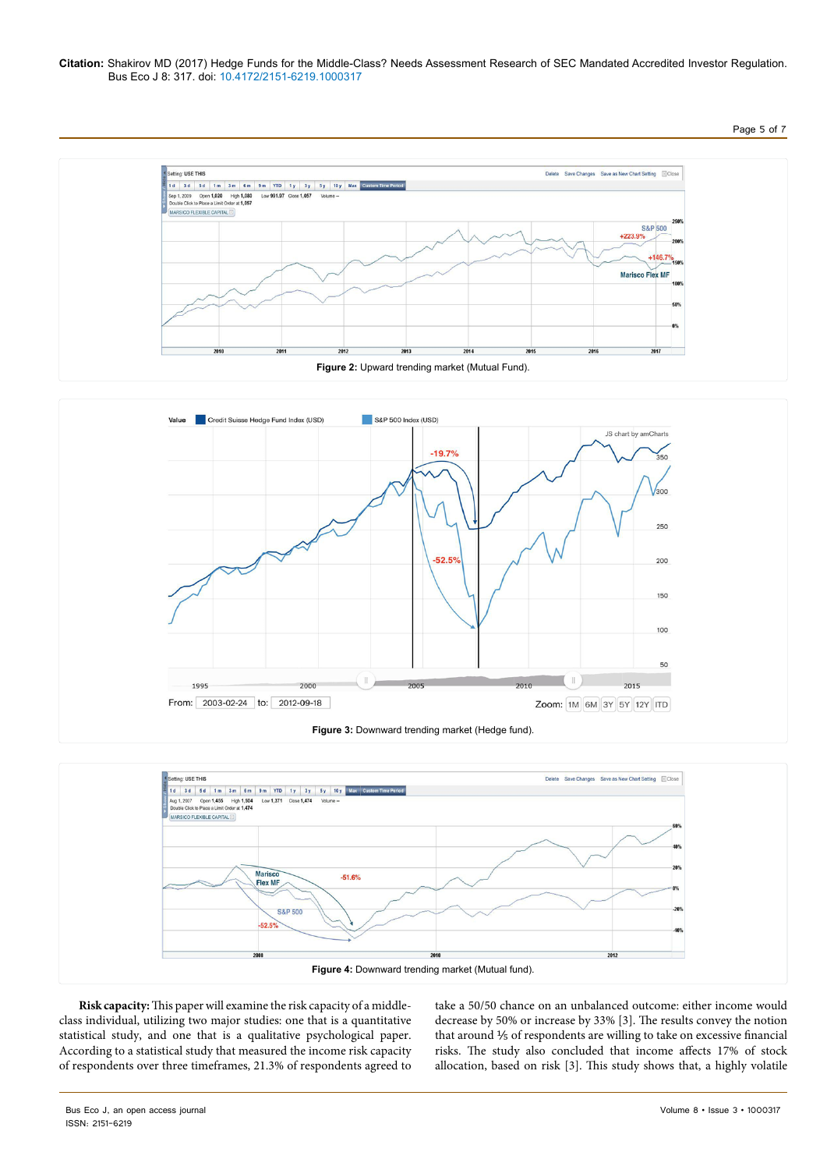### **Citation:** Shakirov MD (2017) Hedge Funds for the Middle-Class? Needs Assessment Research of SEC Mandated Accredited Investor Regulation. Bus Eco J 8: 317. doi: 10.4172/2151-6219.1000317

## Page 5 of 7







**Risk capacity:** This paper will examine the risk capacity of a middleclass individual, utilizing two major studies: one that is a quantitative statistical study, and one that is a qualitative psychological paper. According to a statistical study that measured the income risk capacity of respondents over three timeframes, 21.3% of respondents agreed to take a 50/50 chance on an unbalanced outcome: either income would decrease by 50% or increase by 33% [3]. The results convey the notion that around 1/5 of respondents are willing to take on excessive financial risks. The study also concluded that income affects 17% of stock allocation, based on risk [3]. This study shows that, a highly volatile